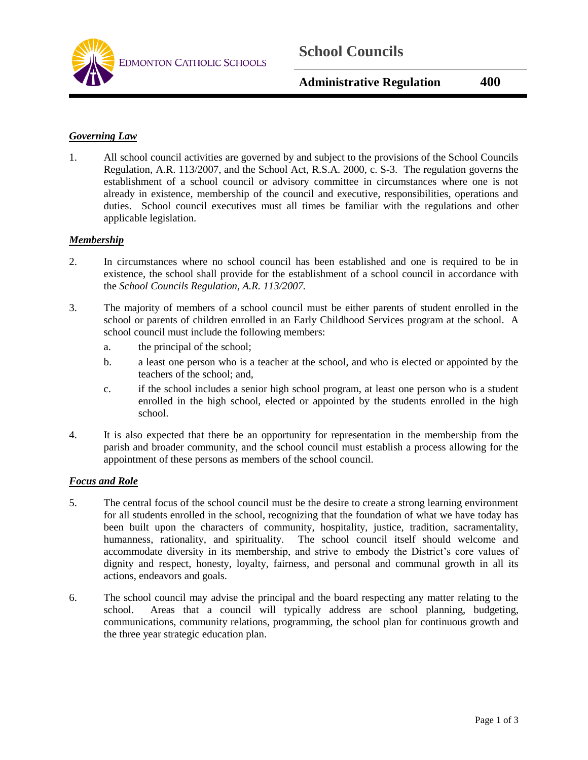

### *Governing Law*

1. All school council activities are governed by and subject to the provisions of the School Councils Regulation, A.R. 113/2007, and the School Act, R.S.A. 2000, c. S-3. The regulation governs the establishment of a school council or advisory committee in circumstances where one is not already in existence, membership of the council and executive, responsibilities, operations and duties. School council executives must all times be familiar with the regulations and other applicable legislation.

#### *Membership*

- 2. In circumstances where no school council has been established and one is required to be in existence, the school shall provide for the establishment of a school council in accordance with the *School Councils Regulation, A.R. 113/2007.*
- 3. The majority of members of a school council must be either parents of student enrolled in the school or parents of children enrolled in an Early Childhood Services program at the school. A school council must include the following members:
	- a. the principal of the school;
	- b. a least one person who is a teacher at the school, and who is elected or appointed by the teachers of the school; and,
	- c. if the school includes a senior high school program, at least one person who is a student enrolled in the high school, elected or appointed by the students enrolled in the high school.
- 4. It is also expected that there be an opportunity for representation in the membership from the parish and broader community, and the school council must establish a process allowing for the appointment of these persons as members of the school council.

#### *Focus and Role*

- 5. The central focus of the school council must be the desire to create a strong learning environment for all students enrolled in the school, recognizing that the foundation of what we have today has been built upon the characters of community, hospitality, justice, tradition, sacramentality, humanness, rationality, and spirituality. The school council itself should welcome and accommodate diversity in its membership, and strive to embody the District's core values of dignity and respect, honesty, loyalty, fairness, and personal and communal growth in all its actions, endeavors and goals.
- 6. The school council may advise the principal and the board respecting any matter relating to the school. Areas that a council will typically address are school planning, budgeting, communications, community relations, programming, the school plan for continuous growth and the three year strategic education plan.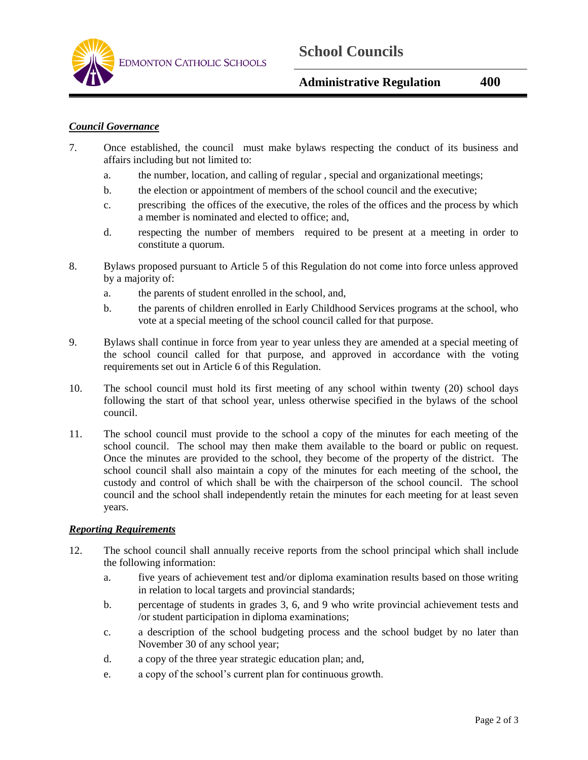

# *Council Governance*

- 7. Once established, the council must make bylaws respecting the conduct of its business and affairs including but not limited to:
	- a. the number, location, and calling of regular , special and organizational meetings;
	- b. the election or appointment of members of the school council and the executive;
	- c. prescribing the offices of the executive, the roles of the offices and the process by which a member is nominated and elected to office; and,
	- d. respecting the number of members required to be present at a meeting in order to constitute a quorum.
- 8. Bylaws proposed pursuant to Article 5 of this Regulation do not come into force unless approved by a majority of:
	- a. the parents of student enrolled in the school, and,
	- b. the parents of children enrolled in Early Childhood Services programs at the school, who vote at a special meeting of the school council called for that purpose.
- 9. Bylaws shall continue in force from year to year unless they are amended at a special meeting of the school council called for that purpose, and approved in accordance with the voting requirements set out in Article 6 of this Regulation.
- 10. The school council must hold its first meeting of any school within twenty (20) school days following the start of that school year, unless otherwise specified in the bylaws of the school council.
- 11. The school council must provide to the school a copy of the minutes for each meeting of the school council. The school may then make them available to the board or public on request. Once the minutes are provided to the school, they become of the property of the district. The school council shall also maintain a copy of the minutes for each meeting of the school, the custody and control of which shall be with the chairperson of the school council. The school council and the school shall independently retain the minutes for each meeting for at least seven years.

# *Reporting Requirements*

- 12. The school council shall annually receive reports from the school principal which shall include the following information:
	- a. five years of achievement test and/or diploma examination results based on those writing in relation to local targets and provincial standards;
	- b. percentage of students in grades 3, 6, and 9 who write provincial achievement tests and /or student participation in diploma examinations;
	- c. a description of the school budgeting process and the school budget by no later than November 30 of any school year;
	- d. a copy of the three year strategic education plan; and,
	- e. a copy of the school's current plan for continuous growth.